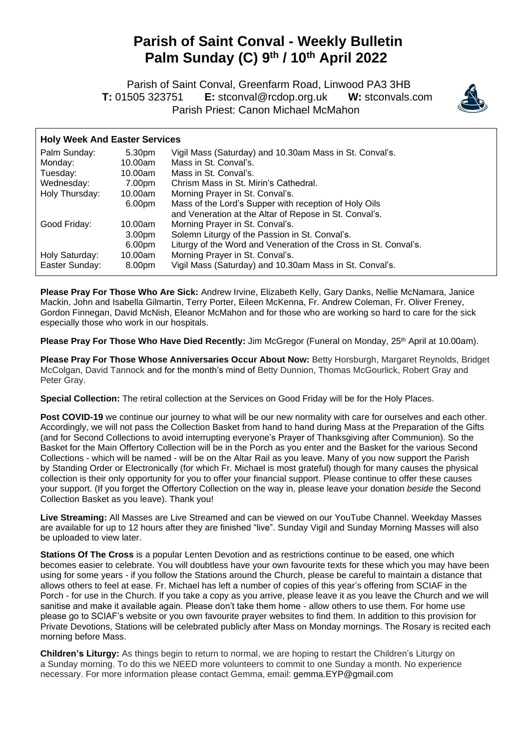## **Parish of Saint Conval - Weekly Bulletin Palm Sunday (C) 9 th / 10th April 2022**

 Parish of Saint Conval, Greenfarm Road, Linwood PA3 3HB **T:** 01505 323751 **E:** [stconval@rcdop.org.uk](mailto:stconval@rcdop.org.uk) **W:** stconvals.com Parish Priest: Canon Michael McMahon



## **Holy Week And Easter Services**

| Palm Sunday:   | 5.30pm             | Vigil Mass (Saturday) and 10.30am Mass in St. Conval's.          |
|----------------|--------------------|------------------------------------------------------------------|
| Monday:        | 10.00am            | Mass in St. Conval's.                                            |
| Tuesday:       | 10.00am            | Mass in St. Conval's.                                            |
| Wednesday:     | 7.00pm             | Chrism Mass in St. Mirin's Cathedral.                            |
| Holy Thursday: | 10.00am            | Morning Prayer in St. Conval's.                                  |
|                | 6.00pm             | Mass of the Lord's Supper with reception of Holy Oils            |
|                |                    | and Veneration at the Altar of Repose in St. Conval's.           |
| Good Friday:   | 10.00am            | Morning Prayer in St. Conval's.                                  |
|                | 3.00 <sub>pm</sub> | Solemn Liturgy of the Passion in St. Conval's.                   |
|                | 6.00pm             | Liturgy of the Word and Veneration of the Cross in St. Conval's. |
| Holy Saturday: | 10.00am            | Morning Prayer in St. Conval's.                                  |
| Easter Sunday: | 8.00pm             | Vigil Mass (Saturday) and 10.30am Mass in St. Conval's.          |

**Please Pray For Those Who Are Sick:** Andrew Irvine, Elizabeth Kelly, Gary Danks, Nellie McNamara, Janice Mackin, John and Isabella Gilmartin, Terry Porter, Eileen McKenna, Fr. Andrew Coleman, Fr. Oliver Freney, Gordon Finnegan, David McNish, Eleanor McMahon and for those who are working so hard to care for the sick especially those who work in our hospitals.

**Please Pray For Those Who Have Died Recently:** Jim McGregor (Funeral on Monday, 25<sup>th</sup> April at 10.00am).

**Please Pray For Those Whose Anniversaries Occur About Now:** Betty Horsburgh, Margaret Reynolds, Bridget McColgan, David Tannock and for the month's mind of Betty Dunnion, Thomas McGourlick, Robert Gray and Peter Gray.

**Special Collection:** The retiral collection at the Services on Good Friday will be for the Holy Places.

**Post COVID-19** we continue our journey to what will be our new normality with care for ourselves and each other. Accordingly, we will not pass the Collection Basket from hand to hand during Mass at the Preparation of the Gifts (and for Second Collections to avoid interrupting everyone's Prayer of Thanksgiving after Communion). So the Basket for the Main Offertory Collection will be in the Porch as you enter and the Basket for the various Second Collections - which will be named - will be on the Altar Rail as you leave. Many of you now support the Parish by Standing Order or Electronically (for which Fr. Michael is most grateful) though for many causes the physical collection is their only opportunity for you to offer your financial support. Please continue to offer these causes your support. (If you forget the Offertory Collection on the way in, please leave your donation *beside* the Second Collection Basket as you leave). Thank you!

**Live Streaming:** All Masses are Live Streamed and can be viewed on our YouTube Channel. Weekday Masses are available for up to 12 hours after they are finished "live". Sunday Vigil and Sunday Morning Masses will also be uploaded to view later.

**Stations Of The Cross** is a popular Lenten Devotion and as restrictions continue to be eased, one which becomes easier to celebrate. You will doubtless have your own favourite texts for these which you may have been using for some years - if you follow the Stations around the Church, please be careful to maintain a distance that allows others to feel at ease. Fr. Michael has left a number of copies of this year's offering from SCIAF in the Porch - for use in the Church. If you take a copy as you arrive, please leave it as you leave the Church and we will sanitise and make it available again. Please don't take them home - allow others to use them. For home use please go to SCIAF's website or you own favourite prayer websites to find them. In addition to this provision for Private Devotions, Stations will be celebrated publicly after Mass on Monday mornings. The Rosary is recited each morning before Mass.

**Children's Liturgy:** As things begin to return to normal, we are hoping to restart the Children's Liturgy on a Sunday morning. To do this we NEED more volunteers to commit to one Sunday a month. No experience necessary. For more information please contact Gemma, email: [gemma.EYP@gmail.com](mailto:gemma.scott0808@gmail.com)